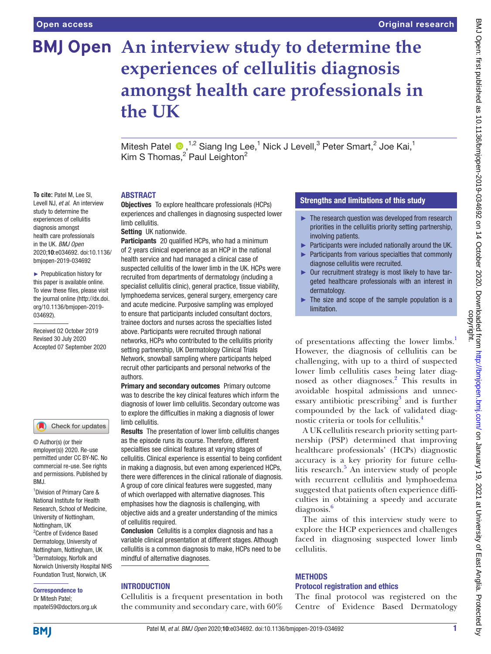**To cite:** Patel M, Lee SI, Levell NJ, *et al*. An interview study to determine the experiences of cellulitis diagnosis amongst health care professionals in the UK. *BMJ Open* 2020;10:e034692. doi:10.1136/ bmjopen-2019-034692 ► Prepublication history for this paper is available online. To view these files, please visit the journal online (http://dx.doi. org/10.1136/bmjopen-2019-

034692).

Received 02 October 2019 Revised 30 July 2020 Accepted 07 September 2020

# **BMJ Open** An interview study to determine the **experiences of cellulitis diagnosis amongst health care professionals in the UK**

Mitesh Patel  $\bullet$ , <sup>1,2</sup> Siang Ing Lee,<sup>1</sup> Nick J Levell,<sup>3</sup> Peter Smart,<sup>2</sup> Joe Kai,<sup>1</sup> Kim S Thomas,<sup>2</sup> Paul Leighton<sup>2</sup>

#### ABSTRACT

Objectives To explore healthcare professionals (HCPs) experiences and challenges in diagnosing suspected lower limb cellulitis.

Setting UK nationwide.

Participants 20 qualified HCPs, who had a minimum of 2 years clinical experience as an HCP in the national health service and had managed a clinical case of suspected cellulitis of the lower limb in the UK. HCPs were recruited from departments of dermatology (including a specialist cellulitis clinic), general practice, tissue viability, lymphoedema services, general surgery, emergency care and acute medicine. Purposive sampling was employed to ensure that participants included consultant doctors, trainee doctors and nurses across the specialties listed above. Participants were recruited through national networks, HCPs who contributed to the cellulitis priority setting partnership, UK Dermatology Clinical Trials Network, snowball sampling where participants helped recruit other participants and personal networks of the authors.

Primary and secondary outcomes Primary outcome was to describe the key clinical features which inform the diagnosis of lower limb cellulitis. Secondary outcome was to explore the difficulties in making a diagnosis of lower limb cellulitis.

Results The presentation of lower limb cellulitis changes as the episode runs its course. Therefore, different specialties see clinical features at varying stages of cellulitis. Clinical experience is essential to being confident in making a diagnosis, but even among experienced HCPs, there were differences in the clinical rationale of diagnosis. A group of core clinical features were suggested, many of which overlapped with alternative diagnoses. This emphasises how the diagnosis is challenging, with objective aids and a greater understanding of the mimics of cellulitis required.

**Conclusion** Cellulitis is a complex diagnosis and has a variable clinical presentation at different stages. Although cellulitis is a common diagnosis to make, HCPs need to be mindful of alternative diagnoses.

#### INTRODUCTION

Cellulitis is a frequent presentation in both the community and secondary care, with 60%

#### Strengths and limitations of this study

- $\blacktriangleright$  The research question was developed from research priorities in the cellulitis priority setting partnership, involving patients.
- ► Participants were included nationally around the UK.
- ► Participants from various specialties that commonly diagnose cellulitis were recruited.
- ► Our recruitment strategy is most likely to have targeted healthcare professionals with an interest in dermatology.
- ► The size and scope of the sample population is a limitation.

of presentations affecting the lower limbs.<sup>1</sup> However, the diagnosis of cellulitis can be challenging, with up to a third of suspected lower limb cellulitis cases being later diag-nosed as other diagnoses.<sup>[2](#page-8-1)</sup> This results in avoidable hospital admissions and unnec-essary antibiotic prescribing<sup>[3](#page-8-2)</sup> and is further compounded by the lack of validated diagnostic criteria or tools for cellulitis[.4](#page-8-3)

A UK cellulitis research priority setting partnership (PSP) determined that improving healthcare professionals' (HCPs) diagnostic accuracy is a key priority for future cellulitis research.<sup>5</sup> An interview study of people with recurrent cellulitis and lymphoedema suggested that patients often experience difficulties in obtaining a speedy and accurate diagnosis.<sup>[6](#page-8-5)</sup>

The aims of this interview study were to explore the HCP experiences and challenges faced in diagnosing suspected lower limb cellulitis.

#### **METHODS**

### Protocol registration and ethics

The final protocol was registered on the Centre of Evidence Based Dermatology

commercial re-use. See rights and permissions. Published by BMJ.

Check for updates

© Author(s) (or their employer(s)) 2020. Re-use permitted under CC BY-NC. No

1 Division of Primary Care & National Institute for Health Research, School of Medicine, University of Nottingham, Nottingham, UK <sup>2</sup> Centre of Evidence Based Dermatology, University of Nottingham, Nottingham, UK 3 Dermatology, Norfolk and Norwich University Hospital NHS Foundation Trust, Norwich, UK

Correspondence to Dr Mitesh Patel; mpatel59@doctors.org.uk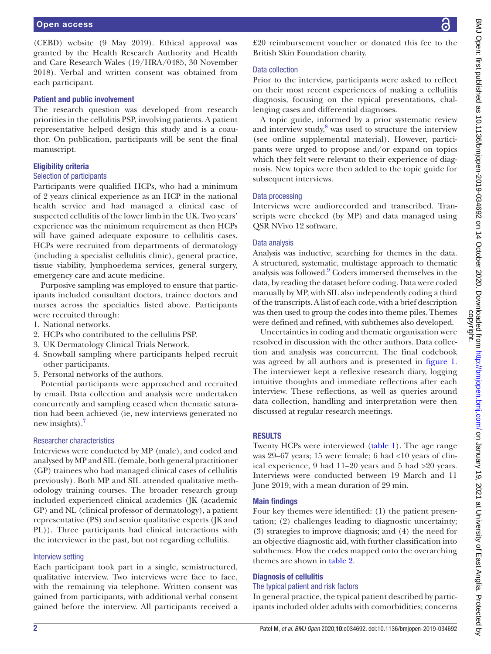(CEBD) website (9 May 2019). Ethical approval was granted by the Health Research Authority and Health and Care Research Wales (19/HRA/0485, 30 November 2018). Verbal and written consent was obtained from each participant.

#### Patient and public involvement

The research question was developed from research priorities in the cellulitis PSP, involving patients. A patient representative helped design this study and is a coauthor. On publication, participants will be sent the final manuscript.

#### Eligibility criteria

#### Selection of participants

Participants were qualified HCPs, who had a minimum of 2 years clinical experience as an HCP in the national health service and had managed a clinical case of suspected cellulitis of the lower limb in the UK. Two years' experience was the minimum requirement as then HCPs will have gained adequate exposure to cellulitis cases. HCPs were recruited from departments of dermatology (including a specialist cellulitis clinic), general practice, tissue viability, lymphoedema services, general surgery, emergency care and acute medicine.

Purposive sampling was employed to ensure that participants included consultant doctors, trainee doctors and nurses across the specialties listed above. Participants were recruited through:

- 1. National networks.
- 2. HCPs who contributed to the cellulitis PSP.
- 3. UK Dermatology Clinical Trials Network.
- 4. Snowball sampling where participants helped recruit other participants.
- 5. Personal networks of the authors.

Potential participants were approached and recruited by email. Data collection and analysis were undertaken concurrently and sampling ceased when thematic saturation had been achieved (ie, new interviews generated no new insights).<sup>[7](#page-8-6)</sup>

#### Researcher characteristics

Interviews were conducted by MP (male), and coded and analysed by MP and SIL (female, both general practitioner (GP) trainees who had managed clinical cases of cellulitis previously). Both MP and SIL attended qualitative methodology training courses. The broader research group included experienced clinical academics (JK (academic GP) and NL (clinical professor of dermatology), a patient representative (PS) and senior qualitative experts (JK and PL)). Three participants had clinical interactions with the interviewer in the past, but not regarding cellulitis.

#### Interview setting

Each participant took part in a single, semistructured, qualitative interview. Two interviews were face to face, with the remaining via telephone. Written consent was gained from participants, with additional verbal consent gained before the interview. All participants received a

£20 reimbursement voucher or donated this fee to the British Skin Foundation charity.

#### Data collection

Prior to the interview, participants were asked to reflect on their most recent experiences of making a cellulitis diagnosis, focusing on the typical presentations, challenging cases and differential diagnoses.

A topic guide, informed by a prior systematic review and interview study,<sup>8</sup> was used to structure the interview (see [online supplemental material\)](https://dx.doi.org/10.1136/bmjopen-2019-034692). However, participants were urged to propose and/or expand on topics which they felt were relevant to their experience of diagnosis. New topics were then added to the topic guide for subsequent interviews.

#### Data processing

Interviews were audiorecorded and transcribed. Transcripts were checked (by MP) and data managed using QSR NVivo 12 software.

#### Data analysis

Analysis was inductive, searching for themes in the data. A structured, systematic, multistage approach to thematic analysis was followed.<sup>9</sup> Coders immersed themselves in the data, by reading the dataset before coding. Data were coded manually by MP, with SIL also independently coding a third of the transcripts. A list of each code, with a brief description was then used to group the codes into theme piles. Themes were defined and refined, with subthemes also developed.

Uncertainties in coding and thematic organisation were resolved in discussion with the other authors. Data collection and analysis was concurrent. The final codebook was agreed by all authors and is presented in [figure](#page-2-0) 1. The interviewer kept a reflexive research diary, logging intuitive thoughts and immediate reflections after each interview. These reflections, as well as queries around data collection, handling and interpretation were then discussed at regular research meetings.

#### RESULTS

Twenty HCPs were interviewed [\(table](#page-2-1) 1). The age range was 29–67 years; 15 were female; 6 had <10 years of clinical experience, 9 had 11–20 years and 5 had >20 years. Interviews were conducted between 19 March and 11 June 2019, with a mean duration of 29 min.

#### Main findings

Four key themes were identified: (1) the patient presentation; (2) challenges leading to diagnostic uncertainty; (3) strategies to improve diagnosis; and (4) the need for an objective diagnostic aid, with further classification into subthemes. How the codes mapped onto the overarching themes are shown in [table](#page-3-0) 2.

#### Diagnosis of cellulitis

#### The typical patient and risk factors

In general practice, the typical patient described by participants included older adults with comorbidities; concerns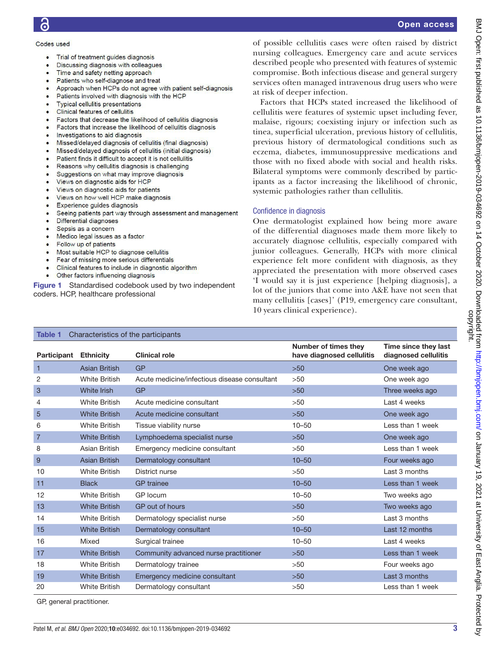#### Codes used

- Trial of treatment quides diagnosis  $\bullet$
- Discussing diagnosis with colleagues
- Time and safety netting approach
- Patients who self-diagnose and treat
- Approach when HCPs do not agree with patient self-diagnosis
- Patients involved with diagnosis with the HCP
- **Typical cellulitis presentations**
- **Clinical features of cellulitis**
- Factors that decrease the likelihood of cellulitis diagnosis
- Factors that increase the likelihood of cellulitis diagnosis
- Investigations to aid diagnosis
- Missed/delayed diagnosis of cellulitis (final diagnosis)
- Missed/delayed diagnosis of cellulitis (initial diagnosis)
- Patient finds it difficult to accept it is not cellulitis
- Reasons why cellulitis diagnosis is challenging
- Suggestions on what may improve diagnosis
- Views on diagnostic aids for HCP
- Views on diagnostic aids for patients
- Views on how well HCP make diagnosis
- Experience guides diagnosis
- Seeing patients part way through assessment and management
- Differential diagnoses
- Sepsis as a concern
- Medico legal issues as a factor
- Follow up of patients
- Most suitable HCP to diagnose cellulitis
- Fear of missing more serious differentials
- <span id="page-2-0"></span>Clinical features to include in diagnostic algorithm
- Other factors influencing diagnosis

Figure 1 Standardised codebook used by two independent coders. HCP, healthcare professional

of possible cellulitis cases were often raised by district nursing colleagues. Emergency care and acute services described people who presented with features of systemic compromise. Both infectious disease and general surgery services often managed intravenous drug users who were at risk of deeper infection.

Factors that HCPs stated increased the likelihood of cellulitis were features of systemic upset including fever, malaise, rigours; coexisting injury or infection such as tinea, superficial ulceration, previous history of cellulitis, previous history of dermatological conditions such as eczema, diabetes, immunosuppressive medications and those with no fixed abode with social and health risks. Bilateral symptoms were commonly described by participants as a factor increasing the likelihood of chronic, systemic pathologies rather than cellulitis.

#### Confidence in diagnosis

One dermatologist explained how being more aware of the differential diagnoses made them more likely to accurately diagnose cellulitis, especially compared with junior colleagues. Generally, HCPs with more clinical experience felt more confident with diagnosis, as they appreciated the presentation with more observed cases 'I would say it is just experience [helping diagnosis], a lot of the juniors that come into A&E have not seen that many cellulitis [cases]' (P19, emergency care consultant, 10 years clinical experience).

<span id="page-2-1"></span>

| Characteristics of the participants<br>Table 1 |                      |                                              |                                                   |                                              |
|------------------------------------------------|----------------------|----------------------------------------------|---------------------------------------------------|----------------------------------------------|
| <b>Participant Ethnicity</b>                   |                      | <b>Clinical role</b>                         | Number of times they<br>have diagnosed cellulitis | Time since they last<br>diagnosed cellulitis |
| $\mathbf{1}$                                   | <b>Asian British</b> | <b>GP</b>                                    | $>50$                                             | One week ago                                 |
| 2                                              | <b>White British</b> | Acute medicine/infectious disease consultant | >50                                               | One week ago                                 |
| 3                                              | White Irish          | <b>GP</b>                                    | $>50$                                             | Three weeks ago                              |
| 4                                              | <b>White British</b> | Acute medicine consultant                    | >50                                               | Last 4 weeks                                 |
| 5                                              | <b>White British</b> | Acute medicine consultant                    | $>50$                                             | One week ago                                 |
| 6                                              | <b>White British</b> | Tissue viability nurse                       | $10 - 50$                                         | Less than 1 week                             |
| $\overline{7}$                                 | <b>White British</b> | Lymphoedema specialist nurse                 | $>50$                                             | One week ago                                 |
| 8                                              | Asian British        | Emergency medicine consultant                | >50                                               | Less than 1 week                             |
| 9                                              | <b>Asian British</b> | Dermatology consultant                       | $10 - 50$                                         | Four weeks ago                               |
| 10                                             | <b>White British</b> | District nurse                               | >50                                               | Last 3 months                                |
| 11                                             | <b>Black</b>         | <b>GP</b> trainee                            | $10 - 50$                                         | Less than 1 week                             |
| 12                                             | <b>White British</b> | GP locum                                     | $10 - 50$                                         | Two weeks ago                                |
| 13                                             | <b>White British</b> | GP out of hours                              | $>50$                                             | Two weeks ago                                |
| 14                                             | <b>White British</b> | Dermatology specialist nurse                 | >50                                               | Last 3 months                                |
| 15                                             | <b>White British</b> | Dermatology consultant                       | $10 - 50$                                         | Last 12 months                               |
| 16                                             | Mixed                | Surgical trainee                             | $10 - 50$                                         | Last 4 weeks                                 |
| 17                                             | <b>White British</b> | Community advanced nurse practitioner        | $>50$                                             | Less than 1 week                             |
| 18                                             | <b>White British</b> | Dermatology trainee                          | >50                                               | Four weeks ago                               |
| 19                                             | <b>White British</b> | Emergency medicine consultant                | $>50$                                             | Last 3 months                                |
| 20                                             | <b>White British</b> | Dermatology consultant                       | >50                                               | Less than 1 week                             |

GP, general practitioner.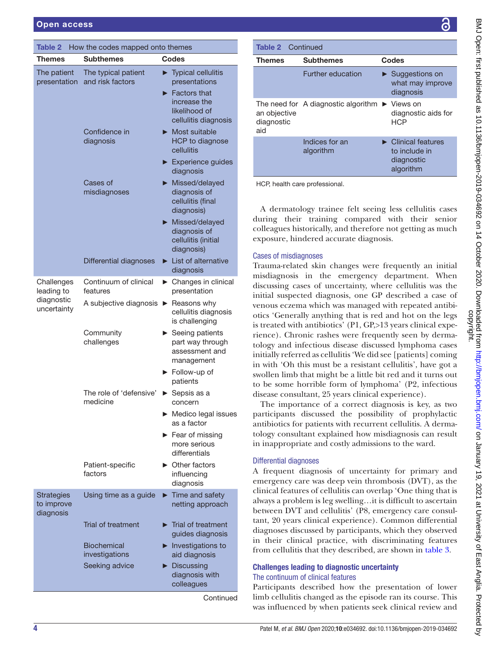<span id="page-3-0"></span>

| <b>Table 2</b><br>How the codes mapped onto themes |                                         |  |                                                                                                                                                          |  |
|----------------------------------------------------|-----------------------------------------|--|----------------------------------------------------------------------------------------------------------------------------------------------------------|--|
| Themes                                             | <b>Subthemes</b>                        |  | Codes                                                                                                                                                    |  |
| The patient<br>presentation                        | The typical patient<br>and risk factors |  | $\blacktriangleright$ Typical cellulitis<br>presentations<br>$\blacktriangleright$ Factors that<br>increase the<br>likelihood of<br>cellulitis diagnosis |  |
|                                                    | Confidence in<br>diagnosis              |  | $\blacktriangleright$ Most suitable<br>HCP to diagnose<br>cellulitis                                                                                     |  |
|                                                    |                                         |  | Experience guides<br>diagnosis                                                                                                                           |  |
|                                                    | Cases of<br>misdiagnoses                |  | Missed/delayed<br>diagnosis of<br>cellulitis (final<br>diagnosis)                                                                                        |  |
|                                                    |                                         |  | Missed/delayed<br>diagnosis of<br>cellulitis (initial<br>diagnosis)                                                                                      |  |
|                                                    | <b>Differential diagnoses</b>           |  | $\blacktriangleright$ List of alternative<br>diagnosis                                                                                                   |  |
| Challenges<br>leading to                           | Continuum of clinical<br>features       |  | ▶ Changes in clinical<br>presentation                                                                                                                    |  |
| diagnostic<br>uncertainty                          | A subjective diagnosis                  |  | $\blacktriangleright$ Reasons why<br>cellulitis diagnosis<br>is challenging                                                                              |  |
|                                                    | Community<br>challenges                 |  | $\blacktriangleright$ Seeing patients<br>part way through<br>assessment and<br>management                                                                |  |
|                                                    |                                         |  | $\blacktriangleright$ Follow-up of<br>patients                                                                                                           |  |
|                                                    | The role of 'defensive'<br>medicine     |  | Sepsis as a<br>concern                                                                                                                                   |  |
|                                                    |                                         |  | Medico legal issues<br>as a factor                                                                                                                       |  |
|                                                    |                                         |  | Fear of missing<br>more serious<br>differentials                                                                                                         |  |
|                                                    | Patient-specific<br>factors             |  | $\triangleright$ Other factors<br>influencing<br>diagnosis                                                                                               |  |
| Strategies<br>to improve<br>diagnosis              | Using time as a guide                   |  | $\blacktriangleright$ Time and safety<br>netting approach                                                                                                |  |
|                                                    | Trial of treatment                      |  | $\blacktriangleright$ Trial of treatment<br>guides diagnosis                                                                                             |  |
|                                                    | <b>Biochemical</b><br>investigations    |  | $\blacktriangleright$ Investigations to<br>aid diagnosis                                                                                                 |  |
|                                                    | Seeking advice                          |  | $\blacktriangleright$ Discussing<br>diagnosis with<br>colleagues                                                                                         |  |

**Continued** 

| <b>Table 2</b> Continued          |                                                               |                                                                                     |  |  |  |  |
|-----------------------------------|---------------------------------------------------------------|-------------------------------------------------------------------------------------|--|--|--|--|
| Themes                            | <b>Subthemes</b>                                              | Codes                                                                               |  |  |  |  |
|                                   | <b>Further education</b>                                      | $\triangleright$ Suggestions on<br>what may improve<br>diagnosis                    |  |  |  |  |
| an objective<br>diagnostic<br>aid | The need for A diagnostic algorithm $\triangleright$ Views on | diagnostic aids for<br>HCP                                                          |  |  |  |  |
|                                   | Indices for an<br>algorithm                                   | $\blacktriangleright$ Clinical features<br>to include in<br>diagnostic<br>algorithm |  |  |  |  |
| HCP, health care professional.    |                                                               |                                                                                     |  |  |  |  |

A dermatology trainee felt seeing less cellulitis cases during their training compared with their senior colleagues historically, and therefore not getting as much exposure, hindered accurate diagnosis.

#### Cases of misdiagnoses

Trauma-related skin changes were frequently an initial misdiagnosis in the emergency department. When discussing cases of uncertainty, where cellulitis was the initial suspected diagnosis, one GP described a case of venous eczema which was managed with repeated antibiotics 'Generally anything that is red and hot on the legs is treated with antibiotics' (P1, GP, > 13 years clinical experience). Chronic rashes were frequently seen by dermatology and infectious disease discussed lymphoma cases initially referred as cellulitis 'We did see [patients] coming in with 'Oh this must be a resistant cellulitis', have got a swollen limb that might be a little bit red and it turns out to be some horrible form of lymphoma' (P2, infectious disease consultant, 25 years clinical experience).

The importance of a correct diagnosis is key, as two participants discussed the possibility of prophylactic antibiotics for patients with recurrent cellulitis. A dermatology consultant explained how misdiagnosis can result in inappropriate and costly admissions to the ward.

#### Differential diagnoses

A frequent diagnosis of uncertainty for primary and emergency care was deep vein thrombosis (DVT), as the clinical features of cellulitis can overlap 'One thing that is always a problem is leg swelling…it is difficult to ascertain between DVT and cellulitis' (P8, emergency care consultant, 20 years clinical experience). Common differential diagnoses discussed by participants, which they observed in their clinical practice, with discriminating features from cellulitis that they described, are shown in [table](#page-4-0) 3.

#### Challenges leading to diagnostic uncertainty The continuum of clinical features

Participants described how the presentation of lower limb cellulitis changed as the episode ran its course. This was influenced by when patients seek clinical review and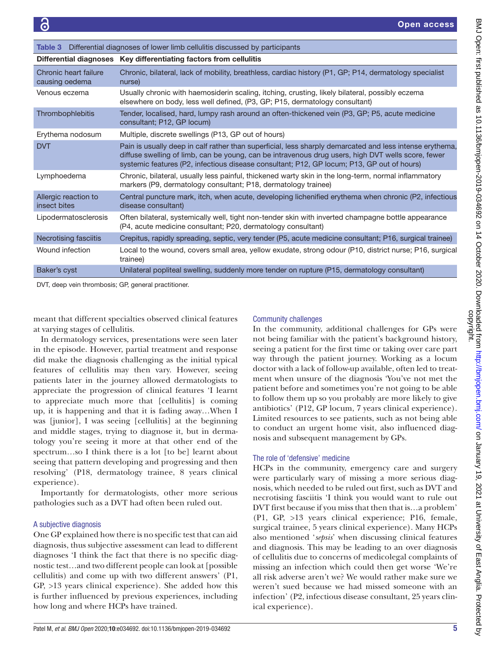<span id="page-4-0"></span>

| Differential diagnoses of lower limb cellulitis discussed by participants<br>Table 3 |                                                                                                                                                                                                                                                                                                              |  |  |  |
|--------------------------------------------------------------------------------------|--------------------------------------------------------------------------------------------------------------------------------------------------------------------------------------------------------------------------------------------------------------------------------------------------------------|--|--|--|
|                                                                                      | Differential diagnoses Key differentiating factors from cellulitis                                                                                                                                                                                                                                           |  |  |  |
| Chronic heart failure<br>causing oedema                                              | Chronic, bilateral, lack of mobility, breathless, cardiac history (P1, GP; P14, dermatology specialist<br>nurse)                                                                                                                                                                                             |  |  |  |
| Venous eczema                                                                        | Usually chronic with haemosiderin scaling, itching, crusting, likely bilateral, possibly eczema<br>elsewhere on body, less well defined, (P3, GP; P15, dermatology consultant)                                                                                                                               |  |  |  |
| Thrombophlebitis                                                                     | Tender, localised, hard, lumpy rash around an often-thickened vein (P3, GP; P5, acute medicine<br>consultant; P12, GP locum)                                                                                                                                                                                 |  |  |  |
| Erythema nodosum                                                                     | Multiple, discrete swellings (P13, GP out of hours)                                                                                                                                                                                                                                                          |  |  |  |
| <b>DVT</b>                                                                           | Pain is usually deep in calf rather than superficial, less sharply demarcated and less intense erythema,<br>diffuse swelling of limb, can be young, can be intravenous drug users, high DVT wells score, fewer<br>systemic features (P2, infectious disease consultant; P12, GP locum; P13, GP out of hours) |  |  |  |
| Lymphoedema                                                                          | Chronic, bilateral, usually less painful, thickened warty skin in the long-term, normal inflammatory<br>markers (P9, dermatology consultant; P18, dermatology trainee)                                                                                                                                       |  |  |  |
| Allergic reaction to<br>insect bites                                                 | Central puncture mark, itch, when acute, developing lichenified erythema when chronic (P2, infectious<br>disease consultant)                                                                                                                                                                                 |  |  |  |
| Lipodermatosclerosis                                                                 | Often bilateral, systemically well, tight non-tender skin with inverted champagne bottle appearance<br>(P4, acute medicine consultant; P20, dermatology consultant)                                                                                                                                          |  |  |  |
| Necrotising fasciitis                                                                | Crepitus, rapidly spreading, septic, very tender (P5, acute medicine consultant; P16, surgical trainee)                                                                                                                                                                                                      |  |  |  |
| Wound infection                                                                      | Local to the wound, covers small area, yellow exudate, strong odour (P10, district nurse; P16, surgical<br>trainee)                                                                                                                                                                                          |  |  |  |
| Baker's cyst                                                                         | Unilateral popliteal swelling, suddenly more tender on rupture (P15, dermatology consultant)                                                                                                                                                                                                                 |  |  |  |

DVT, deep vein thrombosis; GP, general practitioner.

meant that different specialties observed clinical features at varying stages of cellulitis.

In dermatology services, presentations were seen later in the episode. However, partial treatment and response did make the diagnosis challenging as the initial typical features of cellulitis may then vary. However, seeing patients later in the journey allowed dermatologists to appreciate the progression of clinical features 'I learnt to appreciate much more that [cellulitis] is coming up, it is happening and that it is fading away…When I was [junior], I was seeing [cellulitis] at the beginning and middle stages, trying to diagnose it, but in dermatology you're seeing it more at that other end of the spectrum...so I think there is a lot [to be] learnt about seeing that pattern developing and progressing and then resolving' (P18, dermatology trainee, 8 years clinical experience).

Importantly for dermatologists, other more serious pathologies such as a DVT had often been ruled out.

#### A subjective diagnosis

One GP explained how there is no specific test that can aid diagnosis, thus subjective assessment can lead to different diagnoses 'I think the fact that there is no specific diagnostic test…and two different people can look at [possible cellulitis) and come up with two different answers' (P1, GP, >13 years clinical experience). She added how this is further influenced by previous experiences, including how long and where HCPs have trained.

#### Community challenges

In the community, additional challenges for GPs were not being familiar with the patient's background history, seeing a patient for the first time or taking over care part way through the patient journey. Working as a locum doctor with a lack of follow-up available, often led to treatment when unsure of the diagnosis 'You've not met the patient before and sometimes you're not going to be able to follow them up so you probably are more likely to give antibiotics' (P12, GP locum, 7 years clinical experience). Limited resources to see patients, such as not being able to conduct an urgent home visit, also influenced diagnosis and subsequent management by GPs.

#### The role of 'defensive' medicine

HCPs in the community, emergency care and surgery were particularly wary of missing a more serious diagnosis, which needed to be ruled out first, such as DVT and necrotising fasciitis 'I think you would want to rule out DVT first because if you miss that then that is…a problem' (P1, GP, >13 years clinical experience; P16, female, surgical trainee, 5 years clinical experience). Many HCPs also mentioned '*sepsis*' when discussing clinical features and diagnosis. This may be leading to an over diagnosis of cellulitis due to concerns of medicolegal complaints of missing an infection which could then get worse 'We're all risk adverse aren't we? We would rather make sure we weren't sued because we had missed someone with an infection' (P2, infectious disease consultant, 25 years clinical experience).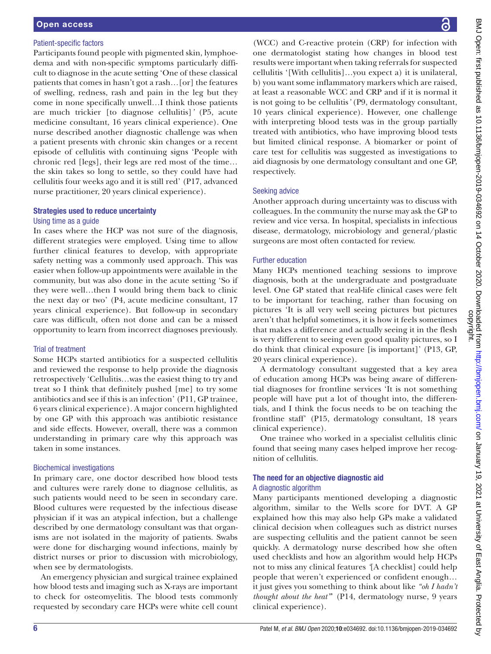#### Patient-specific factors

Participants found people with pigmented skin, lymphoedema and with non-specific symptoms particularly difficult to diagnose in the acute setting 'One of these classical patients that comes in hasn't got a rash*…*[or] the features of swelling, redness, rash and pain in the leg but they come in none specifically unwell*…*I think those patients are much trickier [to diagnose cellulitis]*'* (P5, acute medicine consultant, 16 years clinical experience). One nurse described another diagnostic challenge was when a patient presents with chronic skin changes or a recent episode of cellulitis with continuing signs 'People with chronic red [legs], their legs are red most of the time*…* the skin takes so long to settle, so they could have had cellulitis four weeks ago and it is still red' (P17, advanced nurse practitioner, 20 years clinical experience).

#### Strategies used to reduce uncertainty Using time as a guide

In cases where the HCP was not sure of the diagnosis, different strategies were employed. Using time to allow further clinical features to develop, with appropriate safety netting was a commonly used approach. This was easier when follow-up appointments were available in the community, but was also done in the acute setting 'So if they were well…then I would bring them back to clinic the next day or two' (P4, acute medicine consultant, 17 years clinical experience). But follow-up in secondary care was difficult, often not done and can be a missed opportunity to learn from incorrect diagnoses previously.

#### Trial of treatment

Some HCPs started antibiotics for a suspected cellulitis and reviewed the response to help provide the diagnosis retrospectively 'Cellulitis…was the easiest thing to try and treat so I think that definitely pushed [me] to try some antibiotics and see if this is an infection' (P11, GP trainee, 6 years clinical experience). A major concern highlighted by one GP with this approach was antibiotic resistance and side effects. However, overall, there was a common understanding in primary care why this approach was taken in some instances.

#### Biochemical investigations

In primary care, one doctor described how blood tests and cultures were rarely done to diagnose cellulitis, as such patients would need to be seen in secondary care. Blood cultures were requested by the infectious disease physician if it was an atypical infection, but a challenge described by one dermatology consultant was that organisms are not isolated in the majority of patients. Swabs were done for discharging wound infections, mainly by district nurses or prior to discussion with microbiology, when see by dermatologists.

An emergency physician and surgical trainee explained how blood tests and imaging such as X-rays are important to check for osteomyelitis. The blood tests commonly requested by secondary care HCPs were white cell count

(WCC) and C-reactive protein (CRP) for infection with one dermatologist stating how changes in blood test results were important when taking referrals for suspected cellulitis '[With cellulitis]…you expect a) it is unilateral, b) you want some inflammatory markers which are raised, at least a reasonable WCC and CRP and if it is normal it is not going to be cellulitis*'* (P9, dermatology consultant, 10 years clinical experience). However, one challenge with interpreting blood tests was in the group partially treated with antibiotics, who have improving blood tests but limited clinical response. A biomarker or point of care test for cellulitis was suggested as investigations to aid diagnosis by one dermatology consultant and one GP, respectively.

#### Seeking advice

Another approach during uncertainty was to discuss with colleagues. In the community the nurse may ask the GP to review and vice versa. In hospital, specialists in infectious disease, dermatology, microbiology and general/plastic surgeons are most often contacted for review.

#### Further education

Many HCPs mentioned teaching sessions to improve diagnosis, both at the undergraduate and postgraduate level. One GP stated that real-life clinical cases were felt to be important for teaching, rather than focusing on pictures 'It is all very well seeing pictures but pictures aren't that helpful sometimes, it is how it feels sometimes that makes a difference and actually seeing it in the flesh is very different to seeing even good quality pictures, so I do think that clinical exposure [is important]' (P13, GP, 20 years clinical experience).

A dermatology consultant suggested that a key area of education among HCPs was being aware of differential diagnoses for frontline services 'It is not something people will have put a lot of thought into, the differentials, and I think the focus needs to be on teaching the frontline staff' (P15, dermatology consultant, 18 years clinical experience).

One trainee who worked in a specialist cellulitis clinic found that seeing many cases helped improve her recognition of cellulitis.

# The need for an objective diagnostic aid

## A diagnostic algorithm

Many participants mentioned developing a diagnostic algorithm, similar to the Wells score for DVT. A GP explained how this may also help GPs make a validated clinical decision when colleagues such as district nurses are suspecting cellulitis and the patient cannot be seen quickly. A dermatology nurse described how she often used checklists and how an algorithm would help HCPs not to miss any clinical features *'*[A checklist] could help people that weren't experienced or confident enough… it just gives you something to think about like *"oh I hadn't thought about the heat"*' (P14, dermatology nurse, 9 years clinical experience).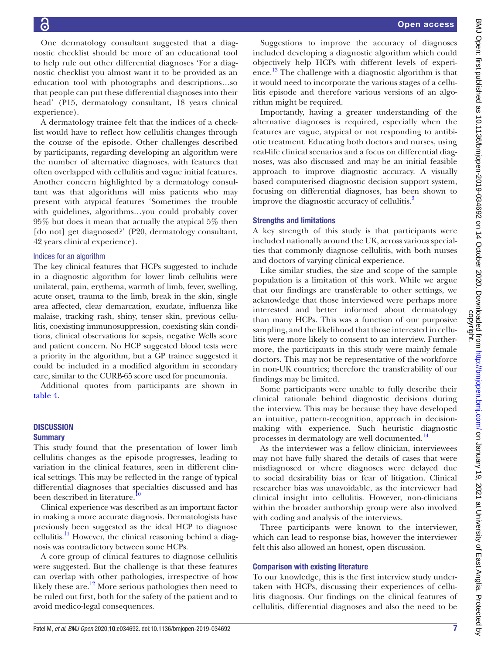One dermatology consultant suggested that a diagnostic checklist should be more of an educational tool to help rule out other differential diagnoses 'For a diagnostic checklist you almost want it to be provided as an education tool with photographs and descriptions…so that people can put these differential diagnoses into their head' (P15, dermatology consultant, 18 years clinical experience).

A dermatology trainee felt that the indices of a checklist would have to reflect how cellulitis changes through the course of the episode. Other challenges described by participants, regarding developing an algorithm were the number of alternative diagnoses, with features that often overlapped with cellulitis and vague initial features. Another concern highlighted by a dermatology consultant was that algorithms will miss patients who may present with atypical features 'Sometimes the trouble with guidelines, algorithms…you could probably cover 95% but does it mean that actually the atypical 5% then [do not] get diagnosed?' (P20, dermatology consultant, 42 years clinical experience).

#### Indices for an algorithm

The key clinical features that HCPs suggested to include in a diagnostic algorithm for lower limb cellulitis were unilateral, pain, erythema, warmth of limb, fever, swelling, acute onset, trauma to the limb, break in the skin, single area affected, clear demarcation, exudate, influenza like malaise, tracking rash, shiny, tenser skin, previous cellulitis, coexisting immunosuppression, coexisting skin conditions, clinical observations for sepsis, negative Wells score and patient concern. No HCP suggested blood tests were a priority in the algorithm, but a GP trainee suggested it could be included in a modified algorithm in secondary care, similar to the CURB-65 score used for pneumonia.

Additional quotes from participants are shown in [table](#page-7-0) 4.

## **DISCUSSION**

#### **Summary**

This study found that the presentation of lower limb cellulitis changes as the episode progresses, leading to variation in the clinical features, seen in different clinical settings. This may be reflected in the range of typical differential diagnoses that specialties discussed and has been described in literature.<sup>1</sup>

Clinical experience was described as an important factor in making a more accurate diagnosis. Dermatologists have previously been suggested as the ideal HCP to diagnose cellulitis. $\frac{11}{11}$  $\frac{11}{11}$  $\frac{11}{11}$  However, the clinical reasoning behind a diagnosis was contradictory between some HCPs.

A core group of clinical features to diagnose cellulitis were suggested. But the challenge is that these features can overlap with other pathologies, irrespective of how likely these are. $12$  More serious pathologies then need to be ruled out first, both for the safety of the patient and to avoid medico-legal consequences.

BMJ Open: first published as 10.1136/bmjopen-2019-034692 on 14 October 2020. Downloaded from http://bmjopen.bmj.com/ on January 19, 2021 at University of East Anglia. Protected by<br>copyright. BMJ Open: first published as 10.1136/bmjopen-2019-034692 on 14 October 2020. Downloaded from <http://bmjopen.bmj.com/> an January 19, 2021 at University of East Anglia. Protected by

Suggestions to improve the accuracy of diagnoses included developing a diagnostic algorithm which could objectively help HCPs with different levels of experience. [13](#page-8-12) The challenge with a diagnostic algorithm is that it would need to incorporate the various stages of a cellulitis episode and therefore various versions of an algorithm might be required.

Importantly, having a greater understanding of the alternative diagnoses is required, especially when the features are vague, atypical or not responding to antibiotic treatment. Educating both doctors and nurses, using real-life clinical scenarios and a focus on differential diagnoses, was also discussed and may be an initial feasible approach to improve diagnostic accuracy. A visually based computerised diagnostic decision support system, focusing on differential diagnoses, has been shown to improve the diagnostic accuracy of cellulitis.<sup>3</sup>

#### Strengths and limitations

A key strength of this study is that participants were included nationally around the UK, across various specialties that commonly diagnose cellulitis, with both nurses and doctors of varying clinical experience.

Like similar studies, the size and scope of the sample population is a limitation of this work. While we argue that our findings are transferable to other settings, we acknowledge that those interviewed were perhaps more interested and better informed about dermatology than many HCPs. This was a function of our purposive sampling, and the likelihood that those interested in cellulitis were more likely to consent to an interview. Furthermore, the participants in this study were mainly female doctors. This may not be representative of the workforce in non-UK countries; therefore the transferability of our findings may be limited.

Some participants were unable to fully describe their clinical rationale behind diagnostic decisions during the interview. This may be because they have developed an intuitive, pattern-recognition, approach in decisionmaking with experience. Such heuristic diagnostic processes in dermatology are well documented[.14](#page-8-13)

As the interviewer was a fellow clinician, interviewees may not have fully shared the details of cases that were misdiagnosed or where diagnoses were delayed due to social desirability bias or fear of litigation. Clinical researcher bias was unavoidable, as the interviewer had clinical insight into cellulitis. However, non-clinicians within the broader authorship group were also involved with coding and analysis of the interviews.

Three participants were known to the interviewer, which can lead to response bias, however the interviewer felt this also allowed an honest, open discussion.

#### Comparison with existing literature

To our knowledge, this is the first interview study undertaken with HCPs, discussing their experiences of cellulitis diagnosis. Our findings on the clinical features of cellulitis, differential diagnoses and also the need to be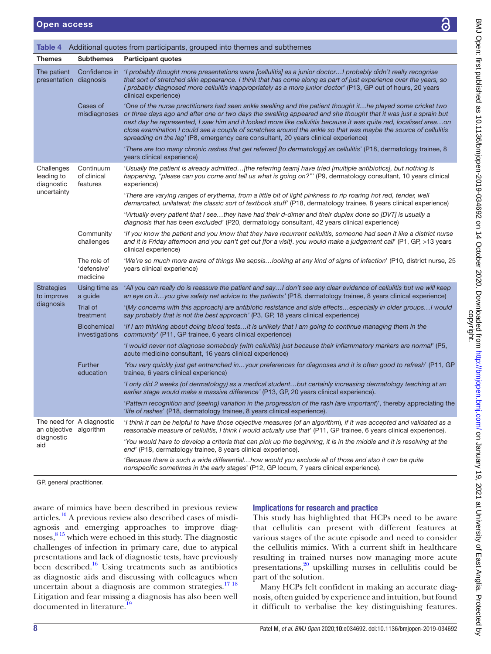<span id="page-7-0"></span>

| <b>Themes</b>                               | <b>Subthemes</b>                       | <b>Participant quotes</b>                                                                                                                                                                                                                                                                                                                                                                                                                                                                                                                                     |
|---------------------------------------------|----------------------------------------|---------------------------------------------------------------------------------------------------------------------------------------------------------------------------------------------------------------------------------------------------------------------------------------------------------------------------------------------------------------------------------------------------------------------------------------------------------------------------------------------------------------------------------------------------------------|
| The patient<br>presentation diagnosis       | Confidence in                          | 'I probably thought more presentations were [cellulitis] as a junior doctorI probably didn't really recognise<br>that sort of stretched skin appearance. I think that has come along as part of just experience over the years, so<br>I probably diagnosed more cellulitis inappropriately as a more junior doctor' (P13, GP out of hours, 20 years<br>clinical experience)                                                                                                                                                                                   |
|                                             | Cases of<br>misdiagnoses               | 'One of the nurse practitioners had seen ankle swelling and the patient thought ithe played some cricket two<br>or three days ago and after one or two days the swelling appeared and she thought that it was just a sprain but<br>next day he represented, I saw him and it looked more like cellulitis because it was quite red, localised areaon<br>close examination I could see a couple of scratches around the ankle so that was maybe the source of cellulitis<br>spreading on the leg' (P8, emergency care consultant, 20 years clinical experience) |
|                                             |                                        | 'There are too many chronic rashes that get referred [to dermatology] as cellulitis' (P18, dermatology trainee, 8<br>years clinical experience)                                                                                                                                                                                                                                                                                                                                                                                                               |
| Challenges<br>leading to<br>diagnostic      | Continuum<br>of clinical<br>features   | 'Usually the patient is already admitted[the referring team] have tried [multiple antibiotics], but nothing is<br>happening, "please can you come and tell us what is going on?"" (P9, dermatology consultant, 10 years clinical<br>experience)                                                                                                                                                                                                                                                                                                               |
| uncertainty                                 |                                        | 'There are varying ranges of erythema, from a little bit of light pinkness to rip roaring hot red, tender, well<br>demarcated, unilateral; the classic sort of textbook stuff' (P18, dermatology trainee, 8 years clinical experience)                                                                                                                                                                                                                                                                                                                        |
|                                             |                                        | 'Virtually every patient that I seethey have had their d-dimer and their duplex done so [DVT] is usually a<br>diagnosis that has been excluded' (P20, dermatology consultant, 42 years clinical experience)                                                                                                                                                                                                                                                                                                                                                   |
|                                             | Community<br>challenges                | 'If you know the patient and you know that they have recurrent cellulitis, someone had seen it like a district nurse<br>and it is Friday afternoon and you can't get out [for a visit]. you would make a judgement call' (P1, GP, >13 years<br>clinical experience)                                                                                                                                                                                                                                                                                           |
|                                             | The role of<br>'defensive'<br>medicine | 'We're so much more aware of things like sepsislooking at any kind of signs of infection' (P10, district nurse, 25<br>years clinical experience)                                                                                                                                                                                                                                                                                                                                                                                                              |
| <b>Strategies</b><br>to improve             | Using time as<br>a guide               | 'All you can really do is reassure the patient and sayI don't see any clear evidence of cellulitis but we will keep<br>an eye on ityou give safety net advice to the patients' (P18, dermatology trainee, 8 years clinical experience)                                                                                                                                                                                                                                                                                                                        |
| diagnosis                                   | Trial of<br>treatment                  | '(My concerns with this approach) are antibiotic resistance and side effectsespecially in older groups I would<br>say probably that is not the best approach' (P3, GP, 18 years clinical experience)                                                                                                                                                                                                                                                                                                                                                          |
|                                             | <b>Biochemical</b><br>investigations   | 'If I am thinking about doing blood testsit is unlikely that I am going to continue managing them in the<br>community' (P11, GP trainee, 6 years clinical experience)                                                                                                                                                                                                                                                                                                                                                                                         |
|                                             |                                        | 'I would never not diagnose somebody (with cellulitis) just because their inflammatory markers are normal' (P5,<br>acute medicine consultant, 16 years clinical experience)                                                                                                                                                                                                                                                                                                                                                                                   |
|                                             | <b>Further</b><br>education            | 'You very quickly just get entrenched inyour preferences for diagnoses and it is often good to refresh' (P11, GP<br>trainee, 6 years clinical experience)                                                                                                                                                                                                                                                                                                                                                                                                     |
|                                             |                                        | 'I only did 2 weeks (of dermatology) as a medical studentbut certainly increasing dermatology teaching at an<br>earlier stage would make a massive difference' (P13, GP, 20 years clinical experience).                                                                                                                                                                                                                                                                                                                                                       |
|                                             |                                        | 'Pattern recognition and (seeing) variation in the progression of the rash (are important)', thereby appreciating the<br>'life of rashes' (P18, dermatology trainee, 8 years clinical experience).                                                                                                                                                                                                                                                                                                                                                            |
| an objective algorithm<br>diagnostic<br>aid | The need for A diagnostic              | 'I think it can be helpful to have those objective measures (of an algorithm), if it was accepted and validated as a<br>reasonable measure of cellulitis, I think I would actually use that' (P11, GP trainee, 6 years clinical experience).                                                                                                                                                                                                                                                                                                                  |
|                                             |                                        | 'You would have to develop a criteria that can pick up the beginning, it is in the middle and it is resolving at the<br>end' (P18, dermatology trainee, 8 years clinical experience).                                                                                                                                                                                                                                                                                                                                                                         |
|                                             |                                        | 'Because there is such a wide differentialhow would you exclude all of those and also it can be quite<br>nonspecific sometimes in the early stages' (P12, GP locum, 7 years clinical experience).                                                                                                                                                                                                                                                                                                                                                             |

aware of mimics have been described in previous review articles.[10](#page-8-9) A previous review also described cases of misdiagnosis and emerging approaches to improve diagnoses, [8 15](#page-8-7) which were echoed in this study. The diagnostic challenges of infection in primary care, due to atypical presentations and lack of diagnostic tests, have previously been described.<sup>16</sup> Using treatments such as antibiotics as diagnostic aids and discussing with colleagues when uncertain about a diagnosis are common strategies.<sup>17</sup><sup>18</sup> Litigation and fear missing a diagnosis has also been well documented in literature.<sup>[19](#page-8-16)</sup>

#### Implications for research and practice

This study has highlighted that HCPs need to be aware that cellulitis can present with different features at various stages of the acute episode and need to consider the cellulitis mimics. With a current shift in healthcare resulting in trained nurses now managing more acute presentations[,20](#page-8-17) upskilling nurses in cellulitis could be part of the solution.

Many HCPs felt confident in making an accurate diagnosis, often guided by experience and intuition, but found it difficult to verbalise the key distinguishing features.